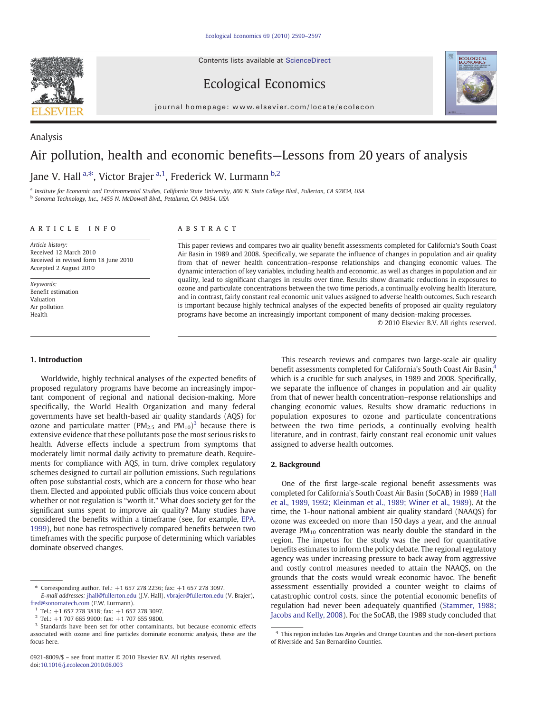Contents lists available at ScienceDirect



Analysis

Ecological Economics



journal homepage: www.elsevier.com/locate/ecolecon  $j$  or expression e l s eventual component  $\alpha$  is  $\alpha$  that  $\alpha$  is  $\alpha$  the  $\alpha$  contains of  $\alpha$ 

# Air pollution, health and economic benefits—Lessons from 20 years of analysis

## Jane V. Hall <sup>a,\*</sup>, Victor Brajer <sup>a,1</sup>, Frederick W. Lurmann <sup>b,2</sup>

a Institute for Economic and Environmental Studies, California State University, 800 N. State College Blvd., Fullerton, CA 92834, USA

<sup>b</sup> Sonoma Technology, Inc., 1455 N. McDowell Blvd., Petaluma, CA 94954, USA

#### article info abstract

Article history: Received 12 March 2010 Received in revised form 18 June 2010 Accepted 2 August 2010

Keywords: Benefit estimation Valuation Air pollution Health

#### 1. Introduction

Worldwide, highly technical analyses of the expected benefits of proposed regulatory programs have become an increasingly important component of regional and national decision-making. More specifically, the World Health Organization and many federal governments have set health-based air quality standards (AQS) for ozone and particulate matter ( $PM<sub>2.5</sub>$  and  $PM<sub>10</sub>$ )<sup>3</sup> because there is extensive evidence that these pollutants pose the most serious risks to health. Adverse effects include a spectrum from symptoms that moderately limit normal daily activity to premature death. Requirements for compliance with AQS, in turn, drive complex regulatory schemes designed to curtail air pollution emissions. Such regulations often pose substantial costs, which are a concern for those who bear them. Elected and appointed public officials thus voice concern about whether or not regulation is "worth it." What does society get for the significant sums spent to improve air quality? Many studies have considered the benefits within a timeframe (see, for example, [EPA,](#page-7-0) [1999\)](#page-7-0), but none has retrospectively compared benefits between two timeframes with the specific purpose of determining which variables dominate observed changes.

⁎ Corresponding author. Tel.: +1 657 278 2236; fax: +1 657 278 3097.

This paper reviews and compares two air quality benefit assessments completed for California's South Coast Air Basin in 1989 and 2008. Specifically, we separate the influence of changes in population and air quality from that of newer health concentration–response relationships and changing economic values. The dynamic interaction of key variables, including health and economic, as well as changes in population and air quality, lead to significant changes in results over time. Results show dramatic reductions in exposures to ozone and particulate concentrations between the two time periods, a continually evolving health literature, and in contrast, fairly constant real economic unit values assigned to adverse health outcomes. Such research is important because highly technical analyses of the expected benefits of proposed air quality regulatory programs have become an increasingly important component of many decision-making processes.

© 2010 Elsevier B.V. All rights reserved.

This research reviews and compares two large-scale air quality benefit assessments completed for California's South Coast Air Basin,<sup>4</sup> which is a crucible for such analyses, in 1989 and 2008. Specifically, we separate the influence of changes in population and air quality from that of newer health concentration–response relationships and changing economic values. Results show dramatic reductions in population exposures to ozone and particulate concentrations between the two time periods, a continually evolving health literature, and in contrast, fairly constant real economic unit values assigned to adverse health outcomes.

#### 2. Background

One of the first large-scale regional benefit assessments was completed for California's South Coast Air Basin (SoCAB) in 1989 [\(Hall](#page-7-0) [et al., 1989, 1992; Kleinman et al., 1989; Winer et al., 1989\)](#page-7-0). At the time, the 1-hour national ambient air quality standard (NAAQS) for ozone was exceeded on more than 150 days a year, and the annual average  $PM_{10}$  concentration was nearly double the standard in the region. The impetus for the study was the need for quantitative benefits estimates to inform the policy debate. The regional regulatory agency was under increasing pressure to back away from aggressive and costly control measures needed to attain the NAAQS, on the grounds that the costs would wreak economic havoc. The benefit assessment essentially provided a counter weight to claims of catastrophic control costs, since the potential economic benefits of regulation had never been adequately quantified [\(Stammer, 1988;](#page-7-0) [Jacobs and Kelly, 2008\)](#page-7-0). For the SoCAB, the 1989 study concluded that

E-mail addresses: [jhall@fullerton.edu](mailto:jhall@fullerton.edu) (J.V. Hall), [vbrajer@fullerton.edu](mailto:vbrajer@fullerton.edu) (V. Brajer), [fred@sonomatech.com](mailto:fred@sonomatech.com) (F.W. Lurmann).

 $1$  Tel.: +1 657 278 3818; fax: +1 657 278 3097.

 $2$  Tel.: +1 707 665 9900; fax: +1 707 655 9800.

<sup>&</sup>lt;sup>3</sup> Standards have been set for other contaminants, but because economic effects associated with ozone and fine particles dominate economic analysis, these are the focus here.

<sup>4</sup> This region includes Los Angeles and Orange Counties and the non-desert portions of Riverside and San Bernardino Counties.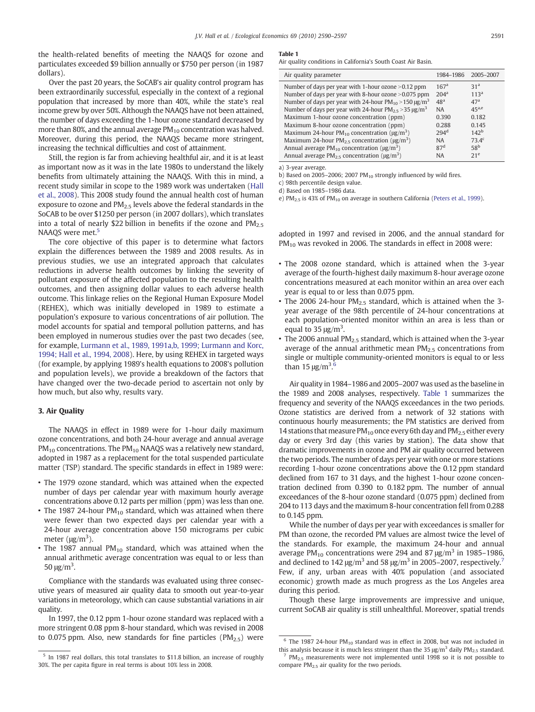the health-related benefits of meeting the NAAQS for ozone and particulates exceeded \$9 billion annually or \$750 per person (in 1987 dollars).

Over the past 20 years, the SoCAB's air quality control program has been extraordinarily successful, especially in the context of a regional population that increased by more than 40%, while the state's real income grew by over 50%. Although the NAAQS have not been attained, the number of days exceeding the 1-hour ozone standard decreased by more than 80%, and the annual average  $PM_{10}$  concentration was halved. Moreover, during this period, the NAAQS became more stringent, increasing the technical difficulties and cost of attainment.

Still, the region is far from achieving healthful air, and it is at least as important now as it was in the late 1980s to understand the likely benefits from ultimately attaining the NAAQS. With this in mind, a recent study similar in scope to the 1989 work was undertaken ([Hall](#page-7-0) [et al., 2008\)](#page-7-0). This 2008 study found the annual health cost of human exposure to ozone and  $PM<sub>2.5</sub>$  levels above the federal standards in the SoCAB to be over \$1250 per person (in 2007 dollars), which translates into a total of nearly \$22 billion in benefits if the ozone and  $PM<sub>2.5</sub>$ NAAQS were met.<sup>5</sup>

The core objective of this paper is to determine what factors explain the differences between the 1989 and 2008 results. As in previous studies, we use an integrated approach that calculates reductions in adverse health outcomes by linking the severity of pollutant exposure of the affected population to the resulting health outcomes, and then assigning dollar values to each adverse health outcome. This linkage relies on the Regional Human Exposure Model (REHEX), which was initially developed in 1989 to estimate a population's exposure to various concentrations of air pollution. The model accounts for spatial and temporal pollution patterns, and has been employed in numerous studies over the past two decades (see, for example, [Lurmann et al., 1989, 1991a,b, 1999; Lurmann and Korc,](#page-7-0) [1994; Hall et al., 1994, 2008](#page-7-0)). Here, by using REHEX in targeted ways (for example, by applying 1989's health equations to 2008's pollution and population levels), we provide a breakdown of the factors that have changed over the two-decade period to ascertain not only by how much, but also why, results vary.

#### 3. Air Quality

The NAAQS in effect in 1989 were for 1-hour daily maximum ozone concentrations, and both 24-hour average and annual average  $PM_{10}$  concentrations. The  $PM_{10}$  NAAQS was a relatively new standard, adopted in 1987 as a replacement for the total suspended particulate matter (TSP) standard. The specific standards in effect in 1989 were:

- The 1979 ozone standard, which was attained when the expected number of days per calendar year with maximum hourly average concentrations above 0.12 parts per million (ppm) was less than one.
- The 1987 24-hour  $PM_{10}$  standard, which was attained when there were fewer than two expected days per calendar year with a 24-hour average concentration above 150 micrograms per cubic meter ( $\mu$ g/m<sup>3</sup>).
- The 1987 annual  $PM_{10}$  standard, which was attained when the annual arithmetic average concentration was equal to or less than 50 μg/m<sup>3</sup>.

Compliance with the standards was evaluated using three consecutive years of measured air quality data to smooth out year-to-year variations in meteorology, which can cause substantial variations in air quality.

In 1997, the 0.12 ppm 1-hour ozone standard was replaced with a more stringent 0.08 ppm 8-hour standard, which was revised in 2008 to 0.075 ppm. Also, new standards for fine particles (PM<sub>2.5</sub>) were

#### Table 1

Air quality conditions in California's South Coast Air Basin.

| Air quality parameter                                                     | 1984-1986        | 2005-2007         |
|---------------------------------------------------------------------------|------------------|-------------------|
| Number of days per year with 1-hour ozone $>0.12$ ppm                     | 167 <sup>a</sup> | 31 <sup>a</sup>   |
| Number of days per year with 8-hour ozone > 0.075 ppm                     | 204 <sup>a</sup> | 113 <sup>a</sup>  |
| Number of days per year with 24-hour $PM_{10} > 150 \mu g/m^3$            | 48 <sup>a</sup>  | 47 <sup>a</sup>   |
| Number of days per year with 24-hour $PM_{2.5} > 35 \mu g/m^3$            | <b>NA</b>        | 45 <sup>a,e</sup> |
| Maximum 1-hour ozone concentration (ppm)                                  | 0.390            | 0.182             |
| Maximum 8-hour ozone concentration (ppm)                                  | 0.288            | 0.145             |
| Maximum 24-hour $PM_{10}$ concentration ( $\mu$ g/m <sup>3</sup> )        | 294 <sup>d</sup> | 142 <sup>b</sup>  |
| Maximum 24-hour $PM_{2.5}$ concentration ( $\mu$ g/m <sup>3</sup> )       | <b>NA</b>        | 73.4 <sup>c</sup> |
| Annual average $PM_{10}$ concentration ( $\mu$ g/m <sup>3</sup> )         | 87 <sup>d</sup>  | 58 <sup>b</sup>   |
| Annual average PM <sub>2.5</sub> concentration ( $\mu$ g/m <sup>3</sup> ) | <b>NA</b>        | 21 <sup>e</sup>   |

a) 3-year average.

b) Based on 2005-2006; 2007 PM $_{10}$  strongly influenced by wild fires.

c) 98th percentile design value.

d) Based on 1985–1986 data.

e) PM<sub>2.5</sub> is 43% of PM<sub>10</sub> on average in southern California [\(Peters et al., 1999](#page-7-0)).

adopted in 1997 and revised in 2006, and the annual standard for  $PM_{10}$  was revoked in 2006. The standards in effect in 2008 were:

- The 2008 ozone standard, which is attained when the 3-year average of the fourth-highest daily maximum 8-hour average ozone concentrations measured at each monitor within an area over each year is equal to or less than 0.075 ppm.
- The 2006 24-hour  $PM<sub>2.5</sub>$  standard, which is attained when the 3year average of the 98th percentile of 24-hour concentrations at each population-oriented monitor within an area is less than or equal to  $35 \,\mathrm{\upmu g/m^3}$ .
- The 2006 annual  $PM<sub>2.5</sub>$  standard, which is attained when the 3-year average of the annual arithmetic mean  $PM<sub>2.5</sub>$  concentrations from single or multiple community-oriented monitors is equal to or less than 15  $\mu$ g/m<sup>3</sup>.<sup>6</sup>

Air quality in 1984–1986 and 2005–2007 was used as the baseline in the 1989 and 2008 analyses, respectively. Table 1 summarizes the frequency and severity of the NAAQS exceedances in the two periods. Ozone statistics are derived from a network of 32 stations with continuous hourly measurements; the PM statistics are derived from 14 stations that measure PM<sub>10</sub> once every 6th day and PM<sub>2.5</sub> either every day or every 3rd day (this varies by station). The data show that dramatic improvements in ozone and PM air quality occurred between the two periods. The number of days per year with one or more stations recording 1-hour ozone concentrations above the 0.12 ppm standard declined from 167 to 31 days, and the highest 1-hour ozone concentration declined from 0.390 to 0.182 ppm. The number of annual exceedances of the 8-hour ozone standard (0.075 ppm) declined from 204 to 113 days and the maximum 8-hour concentration fell from 0.288 to 0.145 ppm.

While the number of days per year with exceedances is smaller for PM than ozone, the recorded PM values are almost twice the level of the standards. For example, the maximum 24-hour and annual average PM<sub>10</sub> concentrations were 294 and 87  $\mu$ g/m<sup>3</sup> in 1985–1986, and declined to  $142 \mu g/m^3$  and  $58 \mu g/m^3$  in 2005–2007, respectively.<sup>7</sup> Few, if any, urban areas with 40% population (and associated economic) growth made as much progress as the Los Angeles area during this period.

Though these large improvements are impressive and unique, current SoCAB air quality is still unhealthful. Moreover, spatial trends

 $5$  In 1987 real dollars, this total translates to \$11.8 billion, an increase of roughly 30%. The per capita figure in real terms is about 10% less in 2008.

<sup>&</sup>lt;sup>6</sup> The 1987 24-hour PM<sub>10</sub> standard was in effect in 2008, but was not included in this analysis because it is much less stringent than the 35  $\mu g/m^3$  daily PM<sub>2.5</sub> standard. PM<sub>2.5</sub> measurements were not implemented until 1998 so it is not possible to

compare  $PM<sub>2.5</sub>$  air quality for the two periods.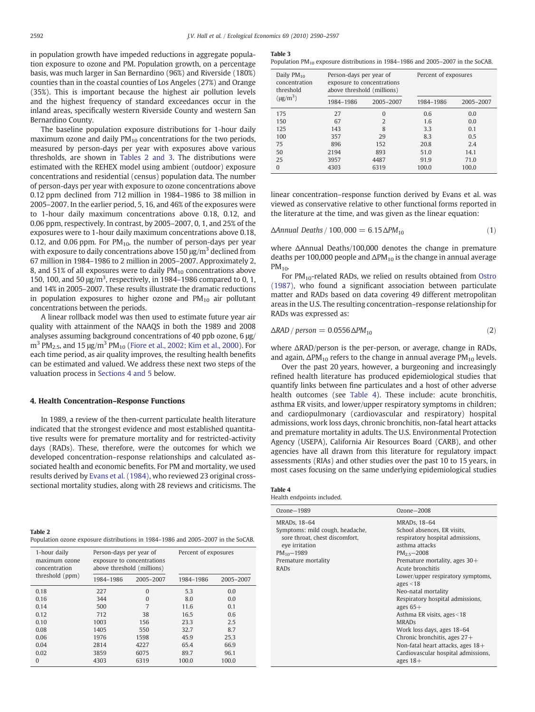<span id="page-2-0"></span>in population growth have impeded reductions in aggregate population exposure to ozone and PM. Population growth, on a percentage basis, was much larger in San Bernardino (96%) and Riverside (180%) counties than in the coastal counties of Los Angeles (27%) and Orange (35%). This is important because the highest air pollution levels and the highest frequency of standard exceedances occur in the inland areas, specifically western Riverside County and western San Bernardino County.

The baseline population exposure distributions for 1-hour daily maximum ozone and daily  $PM_{10}$  concentrations for the two periods, measured by person-days per year with exposures above various thresholds, are shown in Tables 2 and 3. The distributions were estimated with the REHEX model using ambient (outdoor) exposure concentrations and residential (census) population data. The number of person-days per year with exposure to ozone concentrations above 0.12 ppm declined from 712 million in 1984–1986 to 38 million in 2005–2007. In the earlier period, 5, 16, and 46% of the exposures were to 1-hour daily maximum concentrations above 0.18, 0.12, and 0.06 ppm, respectively. In contrast, by 2005–2007, 0, 1, and 25% of the exposures were to 1-hour daily maximum concentrations above 0.18, 0.12, and 0.06 ppm. For  $PM_{10}$ , the number of person-days per year with exposure to daily concentrations above 150  $\mu$ g/m<sup>3</sup> declined from 67 million in 1984–1986 to 2 million in 2005–2007. Approximately 2, 8, and 51% of all exposures were to daily  $PM_{10}$  concentrations above 150, 100, and 50  $\mu$ g/m<sup>3</sup>, respectively, in 1984–1986 compared to 0, 1, and 14% in 2005–2007. These results illustrate the dramatic reductions in population exposures to higher ozone and  $PM_{10}$  air pollutant concentrations between the periods.

A linear rollback model was then used to estimate future year air quality with attainment of the NAAQS in both the 1989 and 2008 analyses assuming background concentrations of 40 ppb ozone, 6 μg/  $m<sup>3</sup> PM<sub>2.5</sub>$ , and 15 μg/m<sup>3</sup> PM<sub>10</sub> [\(Fiore et al., 2002; Kim et al., 2000\)](#page-7-0). For each time period, as air quality improves, the resulting health benefits can be estimated and valued. We address these next two steps of the valuation process in Sections 4 and 5 below.

#### 4. Health Concentration–Response Functions

In 1989, a review of the then-current particulate health literature indicated that the strongest evidence and most established quantitative results were for premature mortality and for restricted-activity days (RADs). These, therefore, were the outcomes for which we developed concentration–response relationships and calculated associated health and economic benefits. For PM and mortality, we used results derived by [Evans et al. \(1984\)](#page-7-0), who reviewed 23 original crosssectional mortality studies, along with 28 reviews and criticisms. The

| Table 2                                                                          |  |  |  |
|----------------------------------------------------------------------------------|--|--|--|
| Population ozone exposure distributions in 1984-1986 and 2005-2007 in the SoCAB. |  |  |  |

| 1-hour daily<br>maximum ozone<br>concentration | Person-days per year of<br>exposure to concentrations<br>above threshold (millions) |           | Percent of exposures |           |
|------------------------------------------------|-------------------------------------------------------------------------------------|-----------|----------------------|-----------|
| threshold (ppm)                                | 1984-1986                                                                           | 2005-2007 | 1984-1986            | 2005-2007 |
| 0.18                                           | 227                                                                                 | $\Omega$  | 5.3                  | 0.0       |
| 0.16                                           | 344                                                                                 | $\Omega$  | 8.0                  | 0.0       |
| 0.14                                           | 500                                                                                 | 7         | 11.6                 | 0.1       |
| 0.12                                           | 712                                                                                 | 38        | 16.5                 | 0.6       |
| 0.10                                           | 1003                                                                                | 156       | 23.3                 | 2.5       |
| 0.08                                           | 1405                                                                                | 550       | 32.7                 | 8.7       |
| 0.06                                           | 1976                                                                                | 1598      | 45.9                 | 25.3      |
| 0.04                                           | 2814                                                                                | 4227      | 65.4                 | 66.9      |
| 0.02                                           | 3859                                                                                | 6075      | 89.7                 | 96.1      |
| $\Omega$                                       | 4303                                                                                | 6319      | 100.0                | 100.0     |

#### Table 3

Population PM<sub>10</sub> exposure distributions in 1984–1986 and 2005–2007 in the SoCAB.

| Daily $PM_{10}$<br>concentration<br>threshold | Person-days per year of<br>exposure to concentrations<br>above threshold (millions) |               | Percent of exposures |           |
|-----------------------------------------------|-------------------------------------------------------------------------------------|---------------|----------------------|-----------|
| $(\mu g/m^3)$                                 | 1984-1986                                                                           | 2005-2007     | 1984-1986            | 2005-2007 |
| 175                                           | 27                                                                                  | $\Omega$      | 0.6                  | 0.0       |
| 150                                           | 67                                                                                  | $\mathcal{D}$ | 1.6                  | 0.0       |
| 125                                           | 143                                                                                 | 8             | 3.3                  | 0.1       |
| 100                                           | 357                                                                                 | 29            | 8.3                  | 0.5       |
| 75                                            | 896                                                                                 | 152           | 20.8                 | 2.4       |
| 50                                            | 2194                                                                                | 893           | 51.0                 | 14.1      |
| 25                                            | 3957                                                                                | 4487          | 91.9                 | 71.0      |
| $\Omega$                                      | 4303                                                                                | 6319          | 100.0                | 100.0     |

linear concentration–response function derived by Evans et al. was viewed as conservative relative to other functional forms reported in the literature at the time, and was given as the linear equation:

$$
\Delta \text{Annual Deaths} / 100,000 = 6.15 \,\Delta PM_{10} \tag{1}
$$

where ΔAnnual Deaths/100,000 denotes the change in premature deaths per 100,000 people and  $\Delta PM_{10}$  is the change in annual average  $PM_{10}$ .

For  $PM_{10}$ -related RADs, we relied on results obtained from [Ostro](#page-7-0) [\(1987\),](#page-7-0) who found a significant association between particulate matter and RADs based on data covering 49 different metropolitan areas in the U.S. The resulting concentration–response relationship for RADs was expressed as:

$$
\Delta RAD / person = 0.0556 \Delta PM_{10}
$$
 (2)

where ΔRAD/person is the per-person, or average, change in RADs, and again,  $\Delta PM_{10}$  refers to the change in annual average PM<sub>10</sub> levels.

Over the past 20 years, however, a burgeoning and increasingly refined health literature has produced epidemiological studies that quantify links between fine particulates and a host of other adverse health outcomes (see Table 4). These include: acute bronchitis, asthma ER visits, and lower/upper respiratory symptoms in children; and cardiopulmonary (cardiovascular and respiratory) hospital admissions, work loss days, chronic bronchitis, non-fatal heart attacks and premature mortality in adults. The U.S. Environmental Protection Agency (USEPA), California Air Resources Board (CARB), and other agencies have all drawn from this literature for regulatory impact assessments (RIAs) and other studies over the past 10 to 15 years, in most cases focusing on the same underlying epidemiological studies

| Table 4 |  |  |
|---------|--|--|
|         |  |  |

|  |  |  | Health endpoints included. |  |  |  |  |  |  |
|--|--|--|----------------------------|--|--|--|--|--|--|
|--|--|--|----------------------------|--|--|--|--|--|--|

| Ozone-2008                                                                                                                                                                                                                                                                                                                                                                                                                                                                                            |
|-------------------------------------------------------------------------------------------------------------------------------------------------------------------------------------------------------------------------------------------------------------------------------------------------------------------------------------------------------------------------------------------------------------------------------------------------------------------------------------------------------|
| MRADs, 18-64<br>School absences, ER visits,<br>respiratory hospital admissions,<br>asthma attacks<br>$PM_{2.5} - 2008$<br>Premature mortality, ages $30+$<br>Acute bronchitis<br>Lower/upper respiratory symptoms,<br>ages < 18<br>Neo-natal mortality<br>Respiratory hospital admissions,<br>ages $65+$<br>Asthma ER visits, ages < 18<br><b>MRADs</b><br>Work loss days, ages 18-64<br>Chronic bronchitis, ages $27+$<br>Non-fatal heart attacks, ages $18+$<br>Cardiovascular hospital admissions, |
|                                                                                                                                                                                                                                                                                                                                                                                                                                                                                                       |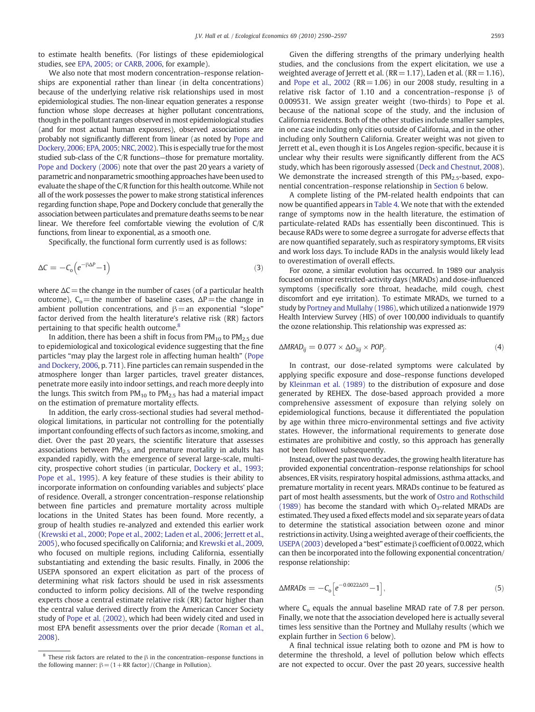to estimate health benefits. (For listings of these epidemiological studies, see [EPA, 2005; or CARB, 2006](#page-7-0), for example).

We also note that most modern concentration–response relationships are exponential rather than linear (in delta concentrations) because of the underlying relative risk relationships used in most epidemiological studies. The non-linear equation generates a response function whose slope decreases at higher pollutant concentrations, though in the pollutant ranges observed in most epidemiological studies (and for most actual human exposures), observed associations are probably not significantly different from linear (as noted by [Pope and](#page-7-0) [Dockery, 2006; EPA, 2005; NRC, 2002\)](#page-7-0). This is especially true for themost studied sub-class of the C/R functions—those for premature mortality. [Pope and Dockery \(2006\)](#page-7-0) note that over the past 20 years a variety of parametric and nonparametric smoothing approaches have been used to evaluate the shape of the C/R function for this health outcome. While not all of the work possesses the power to make strong statistical inferences regarding function shape, Pope and Dockery conclude that generally the association between particulates and premature deaths seems to be near linear. We therefore feel comfortable viewing the evolution of C/R functions, from linear to exponential, as a smooth one.

Specifically, the functional form currently used is as follows:

$$
\Delta C = -C_0 \left( e^{-\beta \Delta P} - 1 \right) \tag{3}
$$

where  $\Delta C$  = the change in the number of cases (of a particular health outcome), C<sub>o</sub>= the number of baseline cases,  $ΔP$ = the change in ambient pollution concentrations, and  $\beta$  = an exponential "slope" factor derived from the health literature's relative risk (RR) factors pertaining to that specific health outcome. $8$ 

In addition, there has been a shift in focus from  $PM_{10}$  to  $PM_{2.5}$  due to epidemiological and toxicological evidence suggesting that the fine particles "may play the largest role in affecting human health" ([Pope](#page-7-0) [and Dockery, 2006](#page-7-0), p. 711). Fine particles can remain suspended in the atmosphere longer than larger particles, travel greater distances, penetrate more easily into indoor settings, and reach more deeply into the lungs. This switch from  $PM_{10}$  to  $PM_{2.5}$  has had a material impact on the estimation of premature mortality effects.

In addition, the early cross-sectional studies had several methodological limitations, in particular not controlling for the potentially important confounding effects of such factors as income, smoking, and diet. Over the past 20 years, the scientific literature that assesses associations between  $PM<sub>2.5</sub>$  and premature mortality in adults has expanded rapidly, with the emergence of several large-scale, multicity, prospective cohort studies (in particular, [Dockery et al., 1993;](#page-7-0) [Pope et al., 1995\)](#page-7-0). A key feature of these studies is their ability to incorporate information on confounding variables and subjects' place of residence. Overall, a stronger concentration–response relationship between fine particles and premature mortality across multiple locations in the United States has been found. More recently, a group of health studies re-analyzed and extended this earlier work [\(Krewski et al., 2000; Pope et al., 2002; Laden et al., 2006; Jerrett et al.,](#page-7-0) [2005\)](#page-7-0), who focused specifically on California; and [Krewski et al., 2009,](#page-7-0) who focused on multiple regions, including California, essentially substantiating and extending the basic results. Finally, in 2006 the USEPA sponsored an expert elicitation as part of the process of determining what risk factors should be used in risk assessments conducted to inform policy decisions. All of the twelve responding experts chose a central estimate relative risk (RR) factor higher than the central value derived directly from the American Cancer Society study of [Pope et al. \(2002\),](#page-7-0) which had been widely cited and used in most EPA benefit assessments over the prior decade ([Roman et al.,](#page-7-0) [2008\)](#page-7-0).

Given the differing strengths of the primary underlying health studies, and the conclusions from the expert elicitation, we use a weighted average of Jerrett et al. ( $RR = 1.17$ ), Laden et al. ( $RR = 1.16$ ), and [Pope et al., 2002](#page-7-0) ( $RR = 1.06$ ) in our 2008 study, resulting in a relative risk factor of 1.10 and a concentration–response β of 0.009531. We assign greater weight (two-thirds) to Pope et al. because of the national scope of the study, and the inclusion of California residents. Both of the other studies include smaller samples, in one case including only cities outside of California, and in the other including only Southern California. Greater weight was not given to Jerrett et al., even though it is Los Angeles region-specific, because it is unclear why their results were significantly different from the ACS study, which has been rigorously assessed ([Deck and Chestnut, 2008](#page-7-0)). We demonstrate the increased strength of this PM<sub>2.5</sub>-based, exponential concentration–response relationship in [Section 6](#page-5-0) below.

A complete listing of the PM-related health endpoints that can now be quantified appears in [Table 4.](#page-2-0) We note that with the extended range of symptoms now in the health literature, the estimation of particulate-related RADs has essentially been discontinued. This is because RADs were to some degree a surrogate for adverse effects that are now quantified separately, such as respiratory symptoms, ER visits and work loss days. To include RADs in the analysis would likely lead to overestimation of overall effects.

For ozone, a similar evolution has occurred. In 1989 our analysis focused on minor restricted-activity days (MRADs) and dose-influenced symptoms (specifically sore throat, headache, mild cough, chest discomfort and eye irritation). To estimate MRADs, we turned to a study by [Portney and Mullahy \(1986\)](#page-7-0), which utilized a nationwide 1979 Health Interview Survey (HIS) of over 100,000 individuals to quantify the ozone relationship. This relationship was expressed as:

$$
\Delta MRAD_{ij} = 0.077 \times \Delta O_{3ij} \times POP_j. \tag{4}
$$

In contrast, our dose-related symptoms were calculated by applying specific exposure and dose–response functions developed by [Kleinman et al. \(1989\)](#page-7-0) to the distribution of exposure and dose generated by REHEX. The dose-based approach provided a more comprehensive assessment of exposure than relying solely on epidemiological functions, because it differentiated the population by age within three micro-environmental settings and five activity states. However, the informational requirements to generate dose estimates are prohibitive and costly, so this approach has generally not been followed subsequently.

Instead, over the past two decades, the growing health literature has provided exponential concentration–response relationships for school absences, ER visits, respiratory hospital admissions, asthma attacks, and premature mortality in recent years. MRADs continue to be featured as part of most health assessments, but the work of [Ostro and Rothschild](#page-7-0) [\(1989\)](#page-7-0) has become the standard with which  $O<sub>3</sub>$ -related MRADs are estimated. They used a fixed effects model and six separate years of data to determine the statistical association between ozone and minor restrictions in activity. Using a weighted average of their coefficients, the [USEPA \(2003\)](#page-7-0) developed a "best" estimate βcoefficient of 0.0022, which can then be incorporated into the following exponential concentration/ response relationship:

$$
\Delta MRADs = -C_0 \left[ e^{-0.0022\Delta O3} - 1 \right],\tag{5}
$$

where  $C_0$  equals the annual baseline MRAD rate of 7.8 per person. Finally, we note that the association developed here is actually several times less sensitive than the Portney and Mullahy results (which we explain further in [Section 6](#page-5-0) below).

A final technical issue relating both to ozone and PM is how to determine the threshold, a level of pollution below which effects are not expected to occur. Over the past 20 years, successive health

<sup>8</sup> These risk factors are related to the β in the concentration–response functions in the following manner:  $\beta = (1 + RR$  factor) / (Change in Pollution).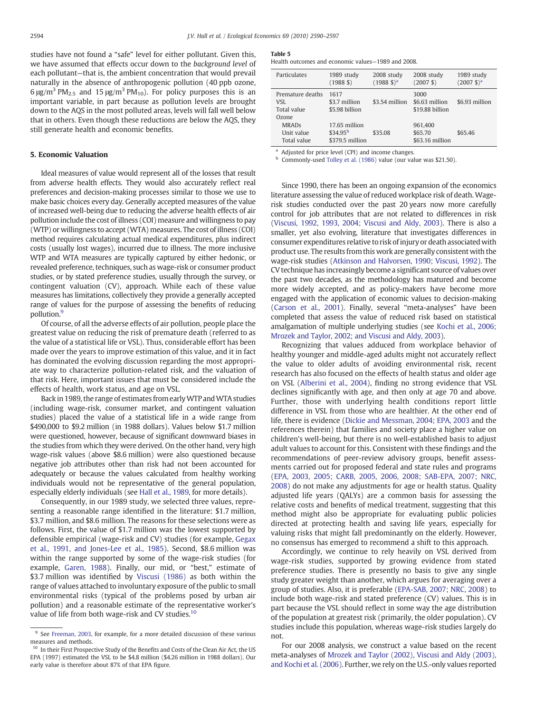<span id="page-4-0"></span>studies have not found a "safe" level for either pollutant. Given this, we have assumed that effects occur down to the background level of each pollutant—that is, the ambient concentration that would prevail naturally in the absence of anthropogenic pollution (40 ppb ozone, 6 μg/m<sup>3</sup> PM<sub>2.5</sub> and 15 μg/m<sup>3</sup> PM<sub>10</sub>). For policy purposes this is an important variable, in part because as pollution levels are brought down to the AQS in the most polluted areas, levels will fall well below that in others. Even though these reductions are below the AQS, they still generate health and economic benefits.

#### 5. Economic Valuation

Ideal measures of value would represent all of the losses that result from adverse health effects. They would also accurately reflect real preferences and decision-making processes similar to those we use to make basic choices every day. Generally accepted measures of the value of increased well-being due to reducing the adverse health effects of air pollution include the cost of illness (COI) measure and willingness to pay (WTP) or willingness to accept (WTA) measures. The cost of illness (COI) method requires calculating actual medical expenditures, plus indirect costs (usually lost wages), incurred due to illness. The more inclusive WTP and WTA measures are typically captured by either hedonic, or revealed preference, techniques, such as wage-risk or consumer product studies, or by stated preference studies, usually through the survey, or contingent valuation (CV), approach. While each of these value measures has limitations, collectively they provide a generally accepted range of values for the purpose of assessing the benefits of reducing pollution.9

Of course, of all the adverse effects of air pollution, people place the greatest value on reducing the risk of premature death (referred to as the value of a statistical life or VSL). Thus, considerable effort has been made over the years to improve estimation of this value, and it in fact has dominated the evolving discussion regarding the most appropriate way to characterize pollution-related risk, and the valuation of that risk. Here, important issues that must be considered include the effects of health, work status, and age on VSL.

Back in 1989, the range of estimates from early WTP and WTA studies (including wage-risk, consumer market, and contingent valuation studies) placed the value of a statistical life in a wide range from \$490,000 to \$9.2 million (in 1988 dollars). Values below \$1.7 million were questioned, however, because of significant downward biases in the studies from which they were derived. On the other hand, very high wage-risk values (above \$8.6 million) were also questioned because negative job attributes other than risk had not been accounted for adequately or because the values calculated from healthy working individuals would not be representative of the general population, especially elderly individuals (see [Hall et al., 1989](#page-7-0), for more details).

Consequently, in our 1989 study, we selected three values, representing a reasonable range identified in the literature: \$1.7 million, \$3.7 million, and \$8.6 million. The reasons for these selections were as follows. First, the value of \$1.7 million was the lowest supported by defensible empirical (wage-risk and CV) studies (for example, [Gegax](#page-7-0) [et al., 1991, and Jones-Lee et al., 1985](#page-7-0)). Second, \$8.6 million was within the range supported by some of the wage-risk studies (for example, [Garen, 1988\)](#page-7-0). Finally, our mid, or "best," estimate of \$3.7 million was identified by [Viscusi \(1986\)](#page-7-0) as both within the range of values attached to involuntary exposure of the public to small environmental risks (typical of the problems posed by urban air pollution) and a reasonable estimate of the representative worker's value of life from both wage-risk and CV studies.<sup>10</sup>

#### Table 5

Health outcomes and economic values—1989 and 2008.

| Particulates                                       | 1989 study<br>(1988 <sup>§</sup> )                       | 2008 study<br>$(1988 \text{ } \frac{\pi}{3})^a$ | 2008 study<br>$(2007 \text{ } $)$         | 1989 study<br>$(2007 \text{ } \frac{\pi}{3})^a$ |
|----------------------------------------------------|----------------------------------------------------------|-------------------------------------------------|-------------------------------------------|-------------------------------------------------|
| Premature deaths<br>VSL<br>Total value             | 1617<br>\$3.7 million<br>\$5.98 billion                  | \$3.54 million                                  | 3000<br>\$6.63 million<br>\$19.88 billion | \$6.93 million                                  |
| Ozone<br><b>MRADs</b><br>Unit value<br>Total value | 17.65 million<br>\$34.95 <sup>b</sup><br>\$379.5 million | \$35.08                                         | 961.400<br>\$65.70<br>\$63.16 million     | \$65.46                                         |

Adjusted for price level (CPI) and income changes.

<sup>b</sup> Commonly-used [Tolley et al. \(1986\)](#page-7-0) value (our value was \$21.50).

Since 1990, there has been an ongoing expansion of the economics literature assessing the value of reduced workplace risk of death. Wagerisk studies conducted over the past 20 years now more carefully control for job attributes that are not related to differences in risk [\(Viscusi, 1992, 1993, 2004; Viscusi and Aldy, 2003\)](#page-7-0). There is also a smaller, yet also evolving, literature that investigates differences in consumer expenditures relative to risk of injury or death associated with product use. The results from this work are generally consistent with the wage-risk studies ([Atkinson and Halvorsen, 1990; Viscusi, 1992\)](#page-6-0). The CV technique has increasingly become a significant source of values over the past two decades, as the methodology has matured and become more widely accepted, and as policy-makers have become more engaged with the application of economic values to decision-making [\(Carson et al., 2001](#page-7-0)). Finally, several "meta-analyses" have been completed that assess the value of reduced risk based on statistical amalgamation of multiple underlying studies (see [Kochi et al., 2006;](#page-7-0) [Mrozek and Taylor, 2002; and Viscusi and Aldy, 2003\)](#page-7-0).

Recognizing that values adduced from workplace behavior of healthy younger and middle-aged adults might not accurately reflect the value to older adults of avoiding environmental risk, recent research has also focused on the effects of health status and older age on VSL ([Alberini et al., 2004\)](#page-6-0), finding no strong evidence that VSL declines significantly with age, and then only at age 70 and above. Further, those with underlying health conditions report little difference in VSL from those who are healthier. At the other end of life, there is evidence [\(Dickie and Messman, 2004; EPA, 2003](#page-7-0) and the references therein) that families and society place a higher value on children's well-being, but there is no well-established basis to adjust adult values to account for this. Consistent with these findings and the recommendations of peer-review advisory groups, benefit assessments carried out for proposed federal and state rules and programs [\(EPA, 2003, 2005; CARB, 2005, 2006, 2008; SAB-EPA, 2007; NRC,](#page-7-0) [2008\)](#page-7-0) do not make any adjustments for age or health status. Quality adjusted life years (QALYs) are a common basis for assessing the relative costs and benefits of medical treatment, suggesting that this method might also be appropriate for evaluating public policies directed at protecting health and saving life years, especially for valuing risks that might fall predominantly on the elderly. However, no consensus has emerged to recommend a shift to this approach.

Accordingly, we continue to rely heavily on VSL derived from wage-risk studies, supported by growing evidence from stated preference studies. There is presently no basis to give any single study greater weight than another, which argues for averaging over a group of studies. Also, it is preferable ([EPA-SAB, 2007; NRC, 2008\)](#page-7-0) to include both wage-risk and stated preference (CV) values. This is in part because the VSL should reflect in some way the age distribution of the population at greatest risk (primarily, the older population). CV studies include this population, whereas wage-risk studies largely do not.

For our 2008 analysis, we construct a value based on the recent meta-analyses of [Mrozek and Taylor \(2002\), Viscusi and Aldy \(2003\),](#page-7-0) [and Kochi et al. \(2006\).](#page-7-0) Further, we rely on the U.S.-only values reported

 $9$  See [Freeman, 2003](#page-7-0), for example, for a more detailed discussion of these various measures and methods.

<sup>&</sup>lt;sup>10</sup> In their First Prospective Study of the Benefits and Costs of the Clean Air Act, the US EPA (1997) estimated the VSL to be \$4.8 million (\$4.26 million in 1988 dollars). Our early value is therefore about 87% of that EPA figure.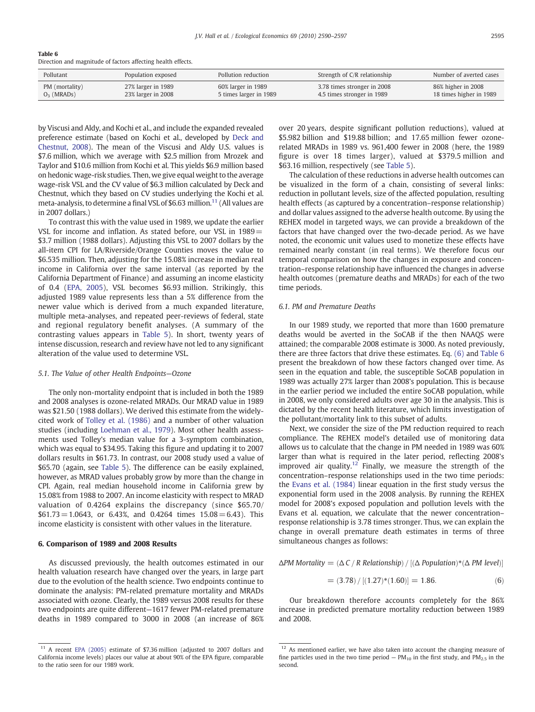<span id="page-5-0"></span>

| Table 6                                                      |  |
|--------------------------------------------------------------|--|
| Direction and magnitude of factors affecting health effects. |  |

| Pollutant      | Population exposed | Pollution reduction    | Strength of C/R relationship | Number of averted cases |
|----------------|--------------------|------------------------|------------------------------|-------------------------|
| PM (mortality) | 27% larger in 1989 | 60% larger in 1989     | 3.78 times stronger in 2008  | 86% higher in 2008      |
| $O_3$ (MRADs)  | 23% larger in 2008 | 5 times larger in 1989 | 4.5 times stronger in 1989   | 18 times higher in 1989 |

by Viscusi and Aldy, and Kochi et al., and include the expanded revealed preference estimate (based on Kochi et al., developed by [Deck and](#page-7-0) [Chestnut, 2008](#page-7-0)). The mean of the Viscusi and Aldy U.S. values is \$7.6 million, which we average with \$2.5 million from Mrozek and Taylor and \$10.6 million from Kochi et al. This yields \$6.9 million based on hedonic wage-risk studies. Then, we give equal weight to the average wage-risk VSL and the CV value of \$6.3 million calculated by Deck and Chestnut, which they based on CV studies underlying the Kochi et al. meta-analysis, to determine a final VSL of \$6.63 million.<sup>11</sup> (All values are in 2007 dollars.)

To contrast this with the value used in 1989, we update the earlier VSL for income and inflation. As stated before, our VSL in 1989 = \$3.7 million (1988 dollars). Adjusting this VSL to 2007 dollars by the all-item CPI for LA/Riverside/Orange Counties moves the value to \$6.535 million. Then, adjusting for the 15.08% increase in median real income in California over the same interval (as reported by the California Department of Finance) and assuming an income elasticity of 0.4 ([EPA, 2005\)](#page-7-0), VSL becomes \$6.93 million. Strikingly, this adjusted 1989 value represents less than a 5% difference from the newer value which is derived from a much expanded literature, multiple meta-analyses, and repeated peer-reviews of federal, state and regional regulatory benefit analyses. (A summary of the contrasting values appears in [Table 5](#page-4-0)). In short, twenty years of intense discussion, research and review have not led to any significant alteration of the value used to determine VSL.

#### 5.1. The Value of other Health Endpoints—Ozone

The only non-mortality endpoint that is included in both the 1989 and 2008 analyses is ozone-related MRADs. Our MRAD value in 1989 was \$21.50 (1988 dollars). We derived this estimate from the widelycited work of [Tolley et al. \(1986\)](#page-7-0) and a number of other valuation studies (including [Loehman et al., 1979\)](#page-7-0). Most other health assessments used Tolley's median value for a 3-symptom combination, which was equal to \$34.95. Taking this figure and updating it to 2007 dollars results in \$61.73. In contrast, our 2008 study used a value of \$65.70 (again, see [Table 5](#page-4-0)). The difference can be easily explained, however, as MRAD values probably grow by more than the change in CPI. Again, real median household income in California grew by 15.08% from 1988 to 2007. An income elasticity with respect to MRAD valuation of 0.4264 explains the discrepancy (since \$65.70/  $$61.73 = 1.0643$ , or 6.43%, and 0.4264 times  $15.08 = 6.43$ ). This income elasticity is consistent with other values in the literature.

#### 6. Comparison of 1989 and 2008 Results

As discussed previously, the health outcomes estimated in our health valuation research have changed over the years, in large part due to the evolution of the health science. Two endpoints continue to dominate the analysis: PM-related premature mortality and MRADs associated with ozone. Clearly, the 1989 versus 2008 results for these two endpoints are quite different—1617 fewer PM-related premature deaths in 1989 compared to 3000 in 2008 (an increase of 86%

over 20 years, despite significant pollution reductions), valued at \$5.982 billion and \$19.88 billion; and 17.65 million fewer ozonerelated MRADs in 1989 vs. 961,400 fewer in 2008 (here, the 1989 figure is over 18 times larger), valued at \$379.5 million and \$63.16 million, respectively (see [Table 5\)](#page-4-0).

The calculation of these reductions in adverse health outcomes can be visualized in the form of a chain, consisting of several links: reduction in pollutant levels, size of the affected population, resulting health effects (as captured by a concentration–response relationship) and dollar values assigned to the adverse health outcome. By using the REHEX model in targeted ways, we can provide a breakdown of the factors that have changed over the two-decade period. As we have noted, the economic unit values used to monetize these effects have remained nearly constant (in real terms). We therefore focus our temporal comparison on how the changes in exposure and concentration–response relationship have influenced the changes in adverse health outcomes (premature deaths and MRADs) for each of the two time periods.

### 6.1. PM and Premature Deaths

In our 1989 study, we reported that more than 1600 premature deaths would be averted in the SoCAB if the then NAAQS were attained; the comparable 2008 estimate is 3000. As noted previously, there are three factors that drive these estimates. Eq. (6) and Table 6 present the breakdown of how these factors changed over time. As seen in the equation and table, the susceptible SoCAB population in 1989 was actually 27% larger than 2008's population. This is because in the earlier period we included the entire SoCAB population, while in 2008, we only considered adults over age 30 in the analysis. This is dictated by the recent health literature, which limits investigation of the pollutant/mortality link to this subset of adults.

Next, we consider the size of the PM reduction required to reach compliance. The REHEX model's detailed use of monitoring data allows us to calculate that the change in PM needed in 1989 was 60% larger than what is required in the later period, reflecting 2008's improved air quality.<sup>12</sup> Finally, we measure the strength of the concentration–response relationships used in the two time periods: the [Evans et al. \(1984\)](#page-7-0) linear equation in the first study versus the exponential form used in the 2008 analysis. By running the REHEX model for 2008's exposed population and pollution levels with the Evans et al. equation, we calculate that the newer concentration– response relationship is 3.78 times stronger. Thus, we can explain the change in overall premature death estimates in terms of three simultaneous changes as follows:

 $\Delta$ PM Mortality  $= (\Delta C / R$  Relationship) /  $[(\Delta$  Population)\* $(\Delta$  PM level)]

$$
= (3.78) / [(1.27)*(1.60)] = 1.86.
$$
 (6)

Our breakdown therefore accounts completely for the 86% increase in predicted premature mortality reduction between 1989 and 2008.

<sup>&</sup>lt;sup>11</sup> A recent [EPA \(2005\)](#page-7-0) estimate of \$7.36 million (adjusted to 2007 dollars and California income levels) places our value at about 90% of the EPA figure, comparable to the ratio seen for our 1989 work.

<sup>&</sup>lt;sup>12</sup> As mentioned earlier, we have also taken into account the changing measure of fine particles used in the two time period  $- PM_{10}$  in the first study, and  $PM_{2.5}$  in the second.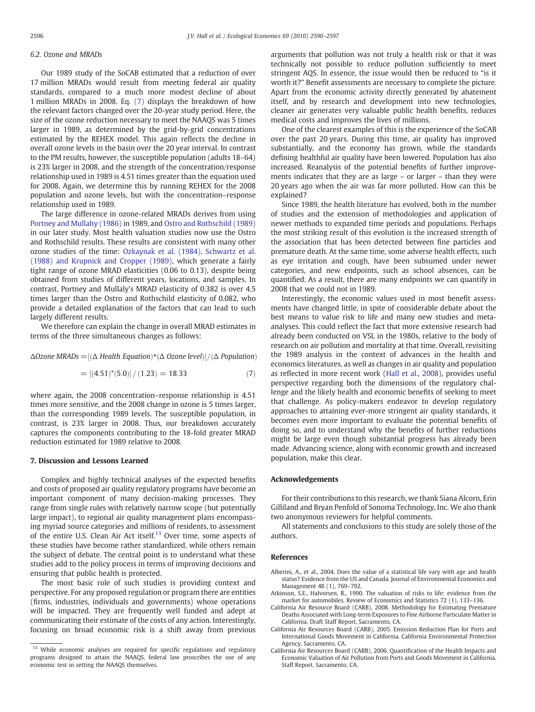### <span id="page-6-0"></span>6.2. Ozone and MRADs

Our 1989 study of the SoCAB estimated that a reduction of over 17 million MRADs would result from meeting federal air quality standards, compared to a much more modest decline of about 1 million MRADs in 2008. Eq. (7) displays the breakdown of how the relevant factors changed over the 20-year study period. Here, the size of the ozone reduction necessary to meet the NAAQS was 5 times larger in 1989, as determined by the grid-by-grid concentrations estimated by the REHEX model. This again reflects the decline in overall ozone levels in the basin over the 20 year interval. In contrast to the PM results, however, the susceptible population (adults 18–64) is 23% larger in 2008, and the strength of the concentration/response relationship used in 1989 is 4.51 times greater than the equation used for 2008. Again, we determine this by running REHEX for the 2008 population and ozone levels, but with the concentration–response relationship used in 1989.

The large difference in ozone-related MRADs derives from using [Portney and Mullahy \(1986\)](#page-7-0) in 1989, and [Ostro and Rothschild \(1989\)](#page-7-0) in our later study. Most health valuation studies now use the Ostro and Rothschild results. These results are consistent with many other ozone studies of the time: [Ozkaynak et al. \(1984\), Schwartz et al.](#page-7-0) [\(1988\) and Krupnick and Cropper \(1989\),](#page-7-0) which generate a fairly tight range of ozone MRAD elasticities (0.06 to 0.13), despite being obtained from studies of different years, locations, and samples. In contrast, Portney and Mullaly's MRAD elasticity of 0.382 is over 4.5 times larger than the Ostro and Rothschild elasticity of 0.082, who provide a detailed explanation of the factors that can lead to such largely different results.

We therefore can explain the change in overall MRAD estimates in terms of the three simultaneous changes as follows:

 $\Delta$ Ozone MRADs  $=$  [( $\Delta$  Health Equation)\*( $\Delta$  Ozone level)]/( $\Delta$  Population)

$$
= [(4.51)^{*}(5.0)] / (1.23) = 18.33
$$
 (7)

where again, the 2008 concentration–response relationship is 4.51 times more sensitive, and the 2008 change in ozone is 5 times larger, than the corresponding 1989 levels. The susceptible population, in contrast, is 23% larger in 2008. Thus, our breakdown accurately captures the components contributing to the 18-fold greater MRAD reduction estimated for 1989 relative to 2008.

#### 7. Discussion and Lessons Learned

Complex and highly technical analyses of the expected benefits and costs of proposed air quality regulatory programs have become an important component of many decision-making processes. They range from single rules with relatively narrow scope (but potentially large impact), to regional air quality management plans encompassing myriad source categories and millions of residents, to assessment of the entire U.S. Clean Air Act itself.<sup>13</sup> Over time, some aspects of these studies have become rather standardized, while others remain the subject of debate. The central point is to understand what these studies add to the policy process in terms of improving decisions and ensuring that public health is protected.

The most basic role of such studies is providing context and perspective. For any proposed regulation or program there are entities (firms, industries, individuals and governments) whose operations will be impacted. They are frequently well funded and adept at communicating their estimate of the costs of any action. Interestingly, focusing on broad economic risk is a shift away from previous arguments that pollution was not truly a health risk or that it was technically not possible to reduce pollution sufficiently to meet stringent AQS. In essence, the issue would then be reduced to "is it worth it?" Benefit assessments are necessary to complete the picture. Apart from the economic activity directly generated by abatement itself, and by research and development into new technologies, cleaner air generates very valuable public health benefits, reduces medical costs and improves the lives of millions.

One of the clearest examples of this is the experience of the SoCAB over the past 20 years. During this time, air quality has improved substantially, and the economy has grown, while the standards defining healthful air quality have been lowered. Population has also increased. Reanalysis of the potential benefits of further improvements indicates that they are as large – or larger – than they were 20 years ago when the air was far more polluted. How can this be explained?

Since 1989, the health literature has evolved, both in the number of studies and the extension of methodologies and application of newer methods to expanded time periods and populations. Perhaps the most striking result of this evolution is the increased strength of the association that has been detected between fine particles and premature death. At the same time, some adverse health effects, such as eye irritation and cough, have been subsumed under newer categories, and new endpoints, such as school absences, can be quantified. As a result, there are many endpoints we can quantify in 2008 that we could not in 1989.

Interestingly, the economic values used in most benefit assessments have changed little, in spite of considerable debate about the best means to value risk to life and many new studies and metaanalyses. This could reflect the fact that more extensive research had already been conducted on VSL in the 1980s, relative to the body of research on air pollution and mortality at that time. Overall, revisiting the 1989 analysis in the context of advances in the health and economics literatures, as well as changes in air quality and population as reflected in more recent work ([Hall et al., 2008](#page-7-0)), provides useful perspective regarding both the dimensions of the regulatory challenge and the likely health and economic benefits of seeking to meet that challenge. As policy-makers endeavor to develop regulatory approaches to attaining ever-more stringent air quality standards, it becomes even more important to evaluate the potential benefits of doing so, and to understand why the benefits of further reductions might be large even though substantial progress has already been made. Advancing science, along with economic growth and increased population, make this clear.

#### Acknowledgements

For their contributions to this research, we thank Siana Alcorn, Erin Gilliland and Bryan Penfold of Sonoma Technology, Inc. We also thank two anonymous reviewers for helpful comments.

All statements and conclusions to this study are solely those of the authors.

#### References

- Alberini, A., et al., 2004. Does the value of a statistical life vary with age and health status? Evidence from the US and Canada. Journal of Environmental Economics and Management 48 (1), 769–792.
- Atkinson, S.E., Halvorsen, R., 1990. The valuation of risks to life: evidence from the market for automobiles. Review of Economics and Statistics 72 (1), 133–136.
- California Air Resource Board (CARB), 2008. Methodology for Estimating Premature Deaths Associated with Long-term Exposures to Fine Airborne Particulate Matter in California. Draft Staff Report, Sacramento, CA.
- California Air Resources Board (CARB), 2005. Emission Reduction Plan for Ports and International Goods Movement in California. California Environmental Protection Agency, Sacramento, CA.
- California Air Resources Board (CARB), 2006. Quantification of the Health Impacts and Economic Valuation of Air Pollution from Ports and Goods Movement in California. Staff Report, Sacramento, CA.

<sup>&</sup>lt;sup>13</sup> While economic analyses are required for specific regulations and regulatory programs designed to attain the NAAQS, federal law proscribes the use of any economic test in setting the NAAQS themselves.